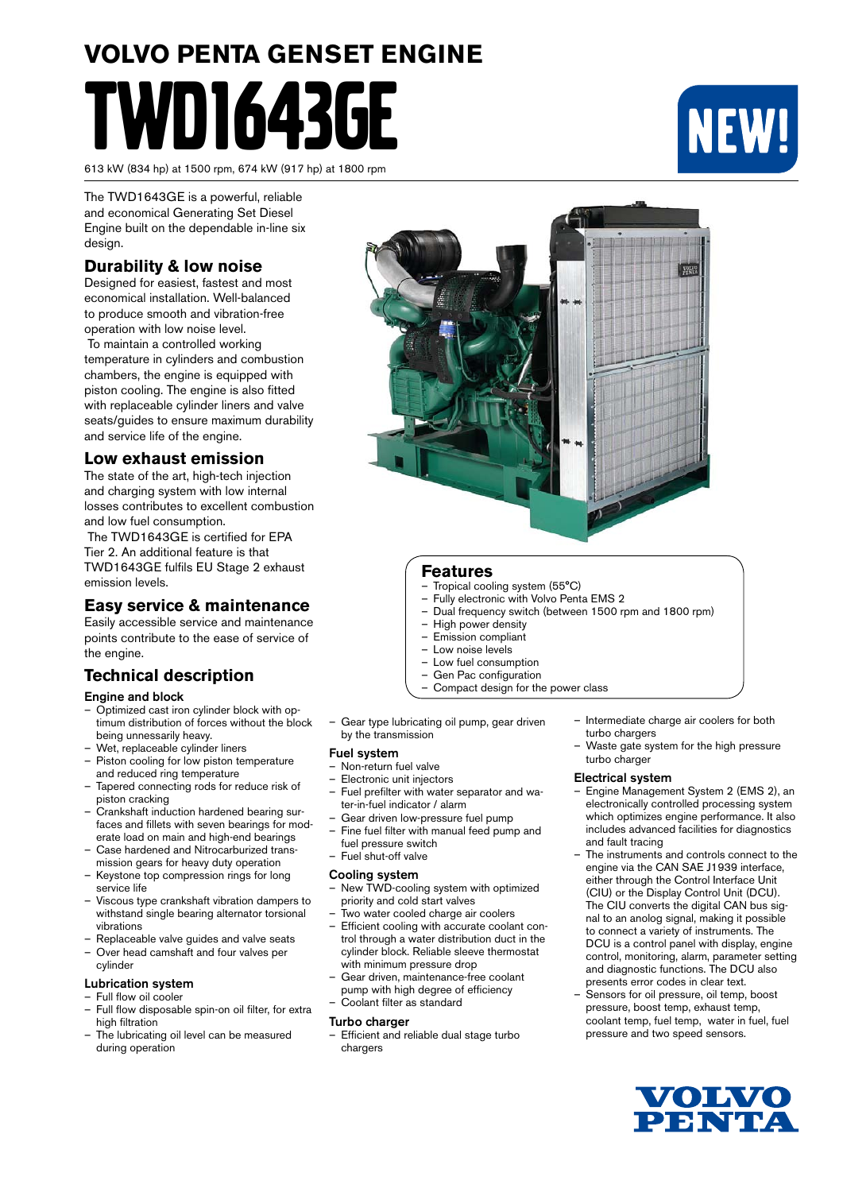# **VOLVO PENTA GENSET ENGINE** TWD1643GE

613 kW (834 hp) at 1500 rpm, 674 kW (917 hp) at 1800 rpm

NEW!

The TWD1643GE is a powerful, reliable and economical Generating Set Diesel Engine built on the dependable in-line six design.

## **Durability & low noise**

Designed for easiest, fastest and most economical installation. Well-balanced to produce smooth and vibration-free operation with low noise level.

 To maintain a controlled working temperature in cylinders and combustion chambers, the engine is equipped with piston cooling. The engine is also fitted with replaceable cylinder liners and valve seats/guides to ensure maximum durability and service life of the engine.

# **Low exhaust emission**

The state of the art, high-tech injection and charging system with low internal losses contributes to excellent combustion and low fuel consumption.

 The TWD1643GE is certified for EPA Tier 2. An additional feature is that TWD1643GE fulfils EU Stage 2 exhaust emission levels.

# **Easy service & maintenance**

Easily accessible service and maintenance points contribute to the ease of service of the engine.

# **Technical description**

#### Engine and block

- Optimized cast iron cylinder block with optimum distribution of forces without the block being unnessarily heavy.
- Wet, replaceable cylinder liners Piston cooling for low piston temperature
- and reduced ring temperature – Tapered connecting rods for reduce risk of
- piston cracking – Crankshaft induction hardened bearing sur-
- faces and fillets with seven bearings for moderate load on main and high-end bearings
- Case hardened and Nitrocarburized transmission gears for heavy duty operation
- Keystone top compression rings for long service life
- Viscous type crankshaft vibration dampers to withstand single bearing alternator torsional vibrations
- Replaceable valve guides and valve seats
- Over head camshaft and four valves per cylinder

#### Lubrication system

- Full flow oil cooler
- Full flow disposable spin-on oil filter, for extra high filtration
- The lubricating oil level can be measured during operation



#### **Features**

- Tropical cooling system (55°C)
- Fully electronic with Volvo Penta EMS 2
- Dual frequency switch (between 1500 rpm and 1800 rpm)
- High power density
- Emission compliant
- Low noise levels
- Low fuel consumption
- Gen Pac configuration
- Compact design for the power class
- Gear type lubricating oil pump, gear driven by the transmission

#### Fuel system

- Non-return fuel valve
- Electronic unit injectors
- Fuel prefilter with water separator and water-in-fuel indicator / alarm
- Gear driven low-pressure fuel pump
- Fine fuel filter with manual feed pump and fuel pressure switch
- Fuel shut-off valve

#### Cooling system

- New TWD-cooling system with optimized priority and cold start valves
- Two water cooled charge air coolers – Efficient cooling with accurate coolant control through a water distribution duct in the cylinder block. Reliable sleeve thermostat with minimum pressure drop
- Gear driven, maintenance-free coolant pump with high degree of efficiency
- Coolant filter as standard

#### **Turbo charger**

– Efficient and reliable dual stage turbo chargers

- Intermediate charge air coolers for both turbo chargers
- Waste gate system for the high pressure turbo charger

#### Electrical system

- Engine Management System 2 (EMS 2), an electronically controlled processing system which optimizes engine performance. It also includes advanced facilities for diagnostics and fault tracing
- The instruments and controls connect to the engine via the CAN SAE J1939 interface, either through the Control Interface Unit (CIU) or the Display Control Unit (DCU). The CIU converts the digital CAN bus signal to an anolog signal, making it possible to connect a variety of instruments. The DCU is a control panel with display, engine control, monitoring, alarm, parameter setting and diagnostic functions. The DCU also presents error codes in clear text.
- Sensors for oil pressure, oil temp, boost pressure, boost temp, exhaust temp, coolant temp, fuel temp, water in fuel, fuel pressure and two speed sensors.